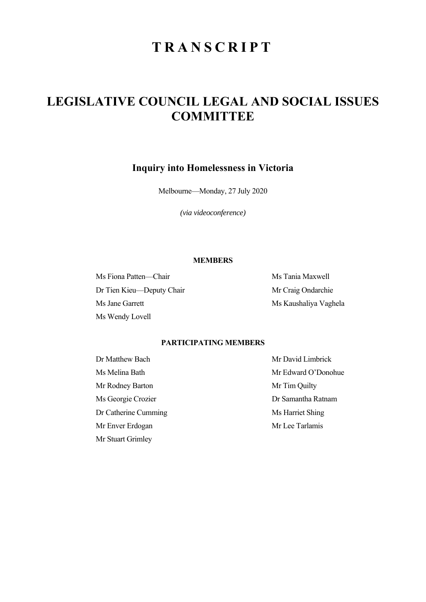# **TRANSCRIPT**

## **LEGISLATIVE COUNCIL LEGAL AND SOCIAL ISSUES COMMITTEE**

### **Inquiry into Homelessness in Victoria**

Melbourne—Monday, 27 July 2020

*(via videoconference)* 

#### **MEMBERS**

Ms Fiona Patten—Chair Ms Tania Maxwell Dr Tien Kieu—Deputy Chair Mr Craig Ondarchie Ms Jane Garrett Ms Kaushaliya Vaghela Ms Wendy Lovell

#### **PARTICIPATING MEMBERS**

Mr Rodney Barton Mr Tim Quilty Ms Georgie Crozier **Dr Samantha Ratnam** Dr Catherine Cumming Ms Harriet Shing Mr Enver Erdogan Mr Lee Tarlamis Mr Stuart Grimley

Dr Matthew Bach Mr David Limbrick Ms Melina Bath Mr Edward O'Donohue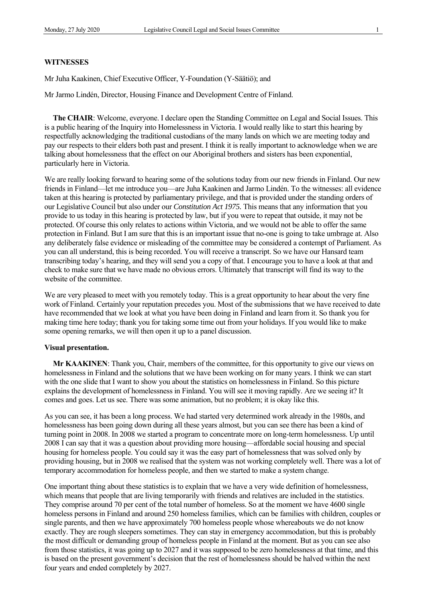#### **WITNESSES**

Mr Juha Kaakinen, Chief Executive Officer, Y-Foundation (Y-Säätiö); and

Mr Jarmo Lindén, Director, Housing Finance and Development Centre of Finland.

**The CHAIR**: Welcome, everyone. I declare open the Standing Committee on Legal and Social Issues. This is a public hearing of the Inquiry into Homelessness in Victoria. I would really like to start this hearing by respectfully acknowledging the traditional custodians of the many lands on which we are meeting today and pay our respects to their elders both past and present. I think it is really important to acknowledge when we are talking about homelessness that the effect on our Aboriginal brothers and sisters has been exponential, particularly here in Victoria.

We are really looking forward to hearing some of the solutions today from our new friends in Finland. Our new friends in Finland—let me introduce you—are Juha Kaakinen and Jarmo Lindén. To the witnesses: all evidence taken at this hearing is protected by parliamentary privilege, and that is provided under the standing orders of our Legislative Council but also under our *Constitution Act 1975.* This means that any information that you provide to us today in this hearing is protected by law, but if you were to repeat that outside, it may not be protected. Of course this only relates to actions within Victoria, and we would not be able to offer the same protection in Finland. But I am sure that this is an important issue that no-one is going to take umbrage at. Also any deliberately false evidence or misleading of the committee may be considered a contempt of Parliament. As you can all understand, this is being recorded. You will receive a transcript. So we have our Hansard team transcribing today's hearing, and they will send you a copy of that. I encourage you to have a look at that and check to make sure that we have made no obvious errors. Ultimately that transcript will find its way to the website of the committee.

We are very pleased to meet with you remotely today. This is a great opportunity to hear about the very fine work of Finland. Certainly your reputation precedes you. Most of the submissions that we have received to date have recommended that we look at what you have been doing in Finland and learn from it. So thank you for making time here today; thank you for taking some time out from your holidays. If you would like to make some opening remarks, we will then open it up to a panel discussion.

#### **Visual presentation.**

**Mr KAAKINEN**: Thank you, Chair, members of the committee, for this opportunity to give our views on homelessness in Finland and the solutions that we have been working on for many years. I think we can start with the one slide that I want to show you about the statistics on homelessness in Finland. So this picture explains the development of homelessness in Finland. You will see it moving rapidly. Are we seeing it? It comes and goes. Let us see. There was some animation, but no problem; it is okay like this.

As you can see, it has been a long process. We had started very determined work already in the 1980s, and homelessness has been going down during all these years almost, but you can see there has been a kind of turning point in 2008. In 2008 we started a program to concentrate more on long-term homelessness. Up until 2008 I can say that it was a question about providing more housing—affordable social housing and special housing for homeless people. You could say it was the easy part of homelessness that was solved only by providing housing, but in 2008 we realised that the system was not working completely well. There was a lot of temporary accommodation for homeless people, and then we started to make a system change.

One important thing about these statistics is to explain that we have a very wide definition of homelessness, which means that people that are living temporarily with friends and relatives are included in the statistics. They comprise around 70 per cent of the total number of homeless. So at the moment we have 4600 single homeless persons in Finland and around 250 homeless families, which can be families with children, couples or single parents, and then we have approximately 700 homeless people whose whereabouts we do not know exactly. They are rough sleepers sometimes. They can stay in emergency accommodation, but this is probably the most difficult or demanding group of homeless people in Finland at the moment. But as you can see also from those statistics, it was going up to 2027 and it was supposed to be zero homelessness at that time, and this is based on the present government's decision that the rest of homelessness should be halved within the next four years and ended completely by 2027.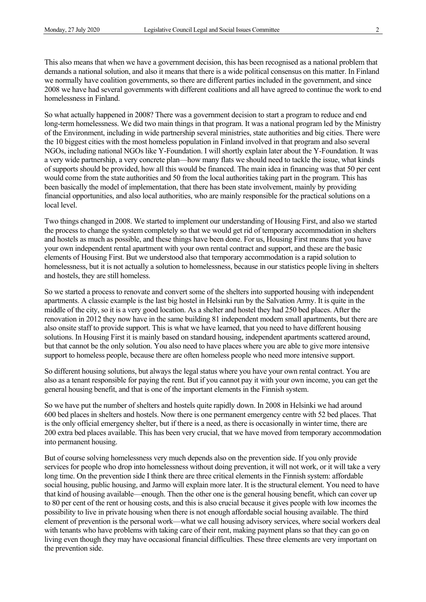This also means that when we have a government decision, this has been recognised as a national problem that demands a national solution, and also it means that there is a wide political consensus on this matter. In Finland we normally have coalition governments, so there are different parties included in the government, and since 2008 we have had several governments with different coalitions and all have agreed to continue the work to end homelessness in Finland.

So what actually happened in 2008? There was a government decision to start a program to reduce and end long-term homelessness. We did two main things in that program. It was a national program led by the Ministry of the Environment, including in wide partnership several ministries, state authorities and big cities. There were the 10 biggest cities with the most homeless population in Finland involved in that program and also several NGOs, including national NGOs like Y-Foundation. I will shortly explain later about the Y-Foundation. It was a very wide partnership, a very concrete plan—how many flats we should need to tackle the issue, what kinds of supports should be provided, how all this would be financed. The main idea in financing was that 50 per cent would come from the state authorities and 50 from the local authorities taking part in the program. This has been basically the model of implementation, that there has been state involvement, mainly by providing financial opportunities, and also local authorities, who are mainly responsible for the practical solutions on a local level.

Two things changed in 2008. We started to implement our understanding of Housing First, and also we started the process to change the system completely so that we would get rid of temporary accommodation in shelters and hostels as much as possible, and these things have been done. For us, Housing First means that you have your own independent rental apartment with your own rental contract and support, and these are the basic elements of Housing First. But we understood also that temporary accommodation is a rapid solution to homelessness, but it is not actually a solution to homelessness, because in our statistics people living in shelters and hostels, they are still homeless.

So we started a process to renovate and convert some of the shelters into supported housing with independent apartments. A classic example is the last big hostel in Helsinki run by the Salvation Army. It is quite in the middle of the city, so it is a very good location. As a shelter and hostel they had 250 bed places. After the renovation in 2012 they now have in the same building 81 independent modern small apartments, but there are also onsite staff to provide support. This is what we have learned, that you need to have different housing solutions. In Housing First it is mainly based on standard housing, independent apartments scattered around, but that cannot be the only solution. You also need to have places where you are able to give more intensive support to homeless people, because there are often homeless people who need more intensive support.

So different housing solutions, but always the legal status where you have your own rental contract. You are also as a tenant responsible for paying the rent. But if you cannot pay it with your own income, you can get the general housing benefit, and that is one of the important elements in the Finnish system.

So we have put the number of shelters and hostels quite rapidly down. In 2008 in Helsinki we had around 600 bed places in shelters and hostels. Now there is one permanent emergency centre with 52 bed places. That is the only official emergency shelter, but if there is a need, as there is occasionally in winter time, there are 200 extra bed places available. This has been very crucial, that we have moved from temporary accommodation into permanent housing.

But of course solving homelessness very much depends also on the prevention side. If you only provide services for people who drop into homelessness without doing prevention, it will not work, or it will take a very long time. On the prevention side I think there are three critical elements in the Finnish system: affordable social housing, public housing, and Jarmo will explain more later. It is the structural element. You need to have that kind of housing available—enough. Then the other one is the general housing benefit, which can cover up to 80 per cent of the rent or housing costs, and this is also crucial because it gives people with low incomes the possibility to live in private housing when there is not enough affordable social housing available. The third element of prevention is the personal work—what we call housing advisory services, where social workers deal with tenants who have problems with taking care of their rent, making payment plans so that they can go on living even though they may have occasional financial difficulties. These three elements are very important on the prevention side.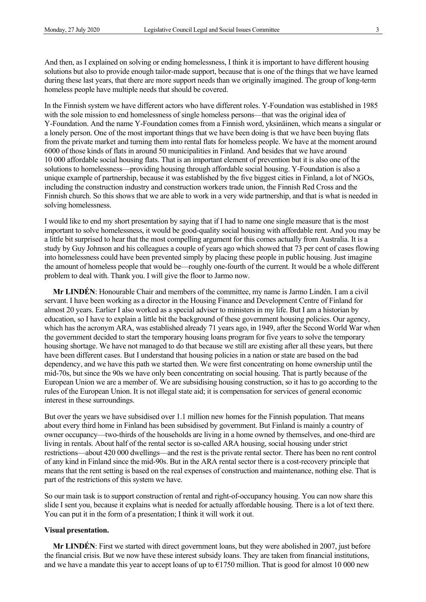And then, as I explained on solving or ending homelessness, I think it is important to have different housing solutions but also to provide enough tailor-made support, because that is one of the things that we have learned during these last years, that there are more support needs than we originally imagined. The group of long-term homeless people have multiple needs that should be covered.

In the Finnish system we have different actors who have different roles. Y-Foundation was established in 1985 with the sole mission to end homelessness of single homeless persons—that was the original idea of Y-Foundation. And the name Y-Foundation comes from a Finnish word, yksinäinen, which means a singular or a lonely person. One of the most important things that we have been doing is that we have been buying flats from the private market and turning them into rental flats for homeless people. We have at the moment around 6000 of those kinds of flats in around 50 municipalities in Finland. And besides that we have around 10 000 affordable social housing flats. That is an important element of prevention but it is also one of the solutions to homelessness—providing housing through affordable social housing. Y-Foundation is also a unique example of partnership, because it was established by the five biggest cities in Finland, a lot of NGOs, including the construction industry and construction workers trade union, the Finnish Red Cross and the Finnish church. So this shows that we are able to work in a very wide partnership, and that is what is needed in solving homelessness.

I would like to end my short presentation by saying that if I had to name one single measure that is the most important to solve homelessness, it would be good-quality social housing with affordable rent. And you may be a little bit surprised to hear that the most compelling argument for this comes actually from Australia. It is a study by Guy Johnson and his colleagues a couple of years ago which showed that 73 per cent of cases flowing into homelessness could have been prevented simply by placing these people in public housing. Just imagine the amount of homeless people that would be—roughly one-fourth of the current. It would be a whole different problem to deal with. Thank you. I will give the floor to Jarmo now.

**Mr LINDÉN**: Honourable Chair and members of the committee, my name is Jarmo Lindén. I am a civil servant. I have been working as a director in the Housing Finance and Development Centre of Finland for almost 20 years. Earlier I also worked as a special adviser to ministers in my life. But I am a historian by education, so I have to explain a little bit the background of these government housing policies. Our agency, which has the acronym ARA, was established already 71 years ago, in 1949, after the Second World War when the government decided to start the temporary housing loans program for five years to solve the temporary housing shortage. We have not managed to do that because we still are existing after all these years, but there have been different cases. But I understand that housing policies in a nation or state are based on the bad dependency, and we have this path we started then. We were first concentrating on home ownership until the mid-70s, but since the 90s we have only been concentrating on social housing. That is partly because of the European Union we are a member of. We are subsidising housing construction, so it has to go according to the rules of the European Union. It is not illegal state aid; it is compensation for services of general economic interest in these surroundings.

But over the years we have subsidised over 1.1 million new homes for the Finnish population. That means about every third home in Finland has been subsidised by government. But Finland is mainly a country of owner occupancy—two-thirds of the households are living in a home owned by themselves, and one-third are living in rentals. About half of the rental sector is so-called ARA housing, social housing under strict restrictions—about 420 000 dwellings—and the rest is the private rental sector. There has been no rent control of any kind in Finland since the mid-90s. But in the ARA rental sector there is a cost-recovery principle that means that the rent setting is based on the real expenses of construction and maintenance, nothing else. That is part of the restrictions of this system we have.

So our main task is to support construction of rental and right-of-occupancy housing. You can now share this slide I sent you, because it explains what is needed for actually affordable housing. There is a lot of text there. You can put it in the form of a presentation; I think it will work it out.

#### **Visual presentation.**

**Mr LINDÉN**: First we started with direct government loans, but they were abolished in 2007, just before the financial crisis. But we now have these interest subsidy loans. They are taken from financial institutions, and we have a mandate this year to accept loans of up to  $E1750$  million. That is good for almost 10 000 new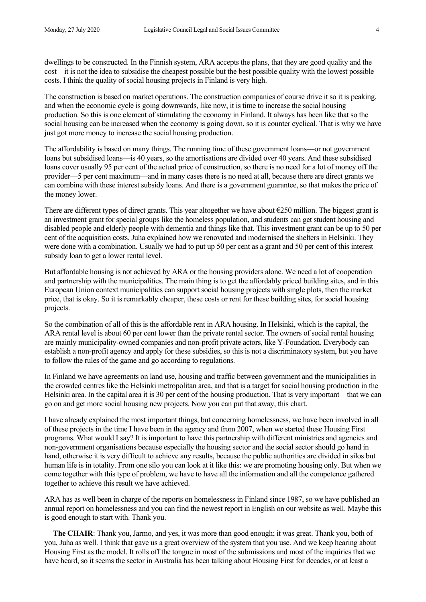dwellings to be constructed. In the Finnish system, ARA accepts the plans, that they are good quality and the cost—it is not the idea to subsidise the cheapest possible but the best possible quality with the lowest possible costs. I think the quality of social housing projects in Finland is very high.

The construction is based on market operations. The construction companies of course drive it so it is peaking, and when the economic cycle is going downwards, like now, it is time to increase the social housing production. So this is one element of stimulating the economy in Finland. It always has been like that so the social housing can be increased when the economy is going down, so it is counter cyclical. That is why we have just got more money to increase the social housing production.

The affordability is based on many things. The running time of these government loans—or not government loans but subsidised loans—is 40 years, so the amortisations are divided over 40 years. And these subsidised loans cover usually 95 per cent of the actual price of construction, so there is no need for a lot of money off the provider—5 per cent maximum—and in many cases there is no need at all, because there are direct grants we can combine with these interest subsidy loans. And there is a government guarantee, so that makes the price of the money lower.

There are different types of direct grants. This year altogether we have about  $\epsilon$ 250 million. The biggest grant is an investment grant for special groups like the homeless population, and students can get student housing and disabled people and elderly people with dementia and things like that. This investment grant can be up to 50 per cent of the acquisition costs. Juha explained how we renovated and modernised the shelters in Helsinki. They were done with a combination. Usually we had to put up 50 per cent as a grant and 50 per cent of this interest subsidy loan to get a lower rental level.

But affordable housing is not achieved by ARA or the housing providers alone. We need a lot of cooperation and partnership with the municipalities. The main thing is to get the affordably priced building sites, and in this European Union context municipalities can support social housing projects with single plots, then the market price, that is okay. So it is remarkably cheaper, these costs or rent for these building sites, for social housing projects.

So the combination of all of this is the affordable rent in ARA housing. In Helsinki, which is the capital, the ARA rental level is about 60 per cent lower than the private rental sector. The owners of social rental housing are mainly municipality-owned companies and non-profit private actors, like Y-Foundation. Everybody can establish a non-profit agency and apply for these subsidies, so this is not a discriminatory system, but you have to follow the rules of the game and go according to regulations.

In Finland we have agreements on land use, housing and traffic between government and the municipalities in the crowded centres like the Helsinki metropolitan area, and that is a target for social housing production in the Helsinki area. In the capital area it is 30 per cent of the housing production. That is very important—that we can go on and get more social housing new projects. Now you can put that away, this chart.

I have already explained the most important things, but concerning homelessness, we have been involved in all of these projects in the time I have been in the agency and from 2007, when we started these Housing First programs. What would I say? It is important to have this partnership with different ministries and agencies and non-government organisations because especially the housing sector and the social sector should go hand in hand, otherwise it is very difficult to achieve any results, because the public authorities are divided in silos but human life is in totality. From one silo you can look at it like this: we are promoting housing only. But when we come together with this type of problem, we have to have all the information and all the competence gathered together to achieve this result we have achieved.

ARA has as well been in charge of the reports on homelessness in Finland since 1987, so we have published an annual report on homelessness and you can find the newest report in English on our website as well. Maybe this is good enough to start with. Thank you.

**The CHAIR**: Thank you, Jarmo, and yes, it was more than good enough; it was great. Thank you, both of you, Juha as well. I think that gave us a great overview of the system that you use. And we keep hearing about Housing First as the model. It rolls off the tongue in most of the submissions and most of the inquiries that we have heard, so it seems the sector in Australia has been talking about Housing First for decades, or at least a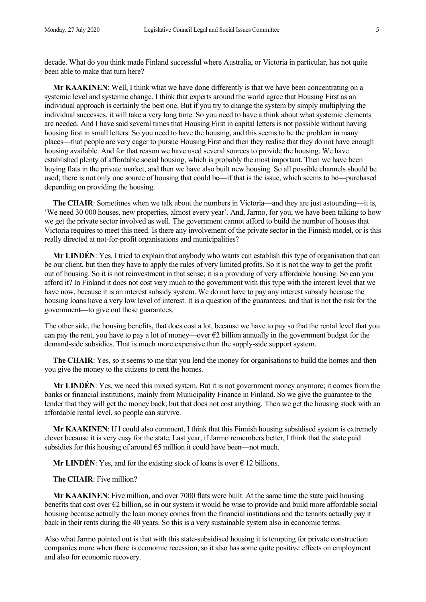decade. What do you think made Finland successful where Australia, or Victoria in particular, has not quite been able to make that turn here?

**Mr KAAKINEN:** Well, I think what we have done differently is that we have been concentrating on a systemic level and systemic change. I think that experts around the world agree that Housing First as an individual approach is certainly the best one. But if you try to change the system by simply multiplying the individual successes, it will take a very long time. So you need to have a think about what systemic elements are needed. And I have said several times that Housing First in capital letters is not possible without having housing first in small letters. So you need to have the housing, and this seems to be the problem in many places—that people are very eager to pursue Housing First and then they realise that they do not have enough housing available. And for that reason we have used several sources to provide the housing. We have established plenty of affordable social housing, which is probably the most important. Then we have been buying flats in the private market, and then we have also built new housing. So all possible channels should be used; there is not only one source of housing that could be—if that is the issue, which seems to be—purchased depending on providing the housing.

**The CHAIR**: Sometimes when we talk about the numbers in Victoria—and they are just astounding—it is, 'We need 30 000 houses, new properties, almost every year'. And, Jarmo, for you, we have been talking to how we get the private sector involved as well. The government cannot afford to build the number of houses that Victoria requires to meet this need. Is there any involvement of the private sector in the Finnish model, or is this really directed at not-for-profit organisations and municipalities?

**Mr LINDÉN**: Yes. I tried to explain that anybody who wants can establish this type of organisation that can be our client, but then they have to apply the rules of very limited profits. So it is not the way to get the profit out of housing. So it is not reinvestment in that sense; it is a providing of very affordable housing. So can you afford it? In Finland it does not cost very much to the government with this type with the interest level that we have now, because it is an interest subsidy system. We do not have to pay any interest subsidy because the housing loans have a very low level of interest. It is a question of the guarantees, and that is not the risk for the government—to give out these guarantees.

The other side, the housing benefits, that does cost a lot, because we have to pay so that the rental level that you can pay the rent, you have to pay a lot of money—over  $\epsilon$ 2 billion annually in the government budget for the demand-side subsidies. That is much more expensive than the supply-side support system.

**The CHAIR**: Yes, so it seems to me that you lend the money for organisations to build the homes and then you give the money to the citizens to rent the homes.

**Mr LINDÉN**: Yes, we need this mixed system. But it is not government money anymore; it comes from the banks or financial institutions, mainly from Municipality Finance in Finland. So we give the guarantee to the lender that they will get the money back, but that does not cost anything. Then we get the housing stock with an affordable rental level, so people can survive.

**Mr KAAKINEN**: If I could also comment, I think that this Finnish housing subsidised system is extremely clever because it is very easy for the state. Last year, if Jarmo remembers better, I think that the state paid subsidies for this housing of around  $\epsilon$ 5 million it could have been—not much.

**Mr LINDÉN:** Yes, and for the existing stock of loans is over  $\epsilon$  12 billions.

**The CHAIR**: Five million?

**Mr KAAKINEN**: Five million, and over 7000 flats were built. At the same time the state paid housing benefits that cost over €2 billion, so in our system it would be wise to provide and build more affordable social housing because actually the loan money comes from the financial institutions and the tenants actually pay it back in their rents during the 40 years. So this is a very sustainable system also in economic terms.

Also what Jarmo pointed out is that with this state-subsidised housing it is tempting for private construction companies more when there is economic recession, so it also has some quite positive effects on employment and also for economic recovery.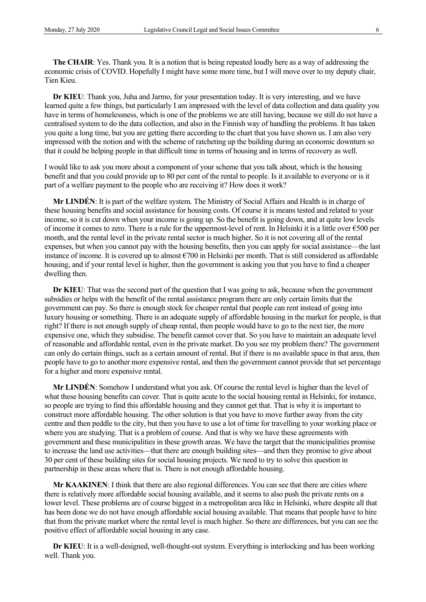**The CHAIR**: Yes. Thank you. It is a notion that is being repeated loudly here as a way of addressing the economic crisis of COVID. Hopefully I might have some more time, but I will move over to my deputy chair, Tien Kieu.

**Dr KIEU**: Thank you, Juha and Jarmo, for your presentation today. It is very interesting, and we have learned quite a few things, but particularly I am impressed with the level of data collection and data quality you have in terms of homelessness, which is one of the problems we are still having, because we still do not have a centralised system to do the data collection, and also in the Finnish way of handling the problems. It has taken you quite a long time, but you are getting there according to the chart that you have shown us. I am also very impressed with the notion and with the scheme of ratcheting up the building during an economic downturn so that it could be helping people in that difficult time in terms of housing and in terms of recovery as well.

I would like to ask you more about a component of your scheme that you talk about, which is the housing benefit and that you could provide up to 80 per cent of the rental to people. Is it available to everyone or is it part of a welfare payment to the people who are receiving it? How does it work?

**Mr LINDÉN**: It is part of the welfare system. The Ministry of Social Affairs and Health is in charge of these housing benefits and social assistance for housing costs. Of course it is means tested and related to your income, so it is cut down when your income is going up. So the benefit is going down, and at quite low levels of income it comes to zero. There is a rule for the uppermost-level of rent. In Helsinki it is a little over  $\epsilon$ 500 per month, and the rental level in the private rental sector is much higher. So it is not covering all of the rental expenses, but when you cannot pay with the housing benefits, then you can apply for social assistance—the last instance of income. It is covered up to almost  $\epsilon$ 700 in Helsinki per month. That is still considered as affordable housing, and if your rental level is higher, then the government is asking you that you have to find a cheaper dwelling then.

**Dr KIEU**: That was the second part of the question that I was going to ask, because when the government subsidies or helps with the benefit of the rental assistance program there are only certain limits that the government can pay. So there is enough stock for cheaper rental that people can rent instead of going into luxury housing or something. There is an adequate supply of affordable housing in the market for people, is that right? If there is not enough supply of cheap rental, then people would have to go to the next tier, the more expensive one, which they subsidise. The benefit cannot cover that. So you have to maintain an adequate level of reasonable and affordable rental, even in the private market. Do you see my problem there? The government can only do certain things, such as a certain amount of rental. But if there is no available space in that area, then people have to go to another more expensive rental, and then the government cannot provide that set percentage for a higher and more expensive rental.

**Mr LINDÉN**: Somehow I understand what you ask. Of course the rental level is higher than the level of what these housing benefits can cover. That is quite acute to the social housing rental in Helsinki, for instance, so people are trying to find this affordable housing and they cannot get that. That is why it is important to construct more affordable housing. The other solution is that you have to move further away from the city centre and then peddle to the city, but then you have to use a lot of time for travelling to your working place or where you are studying. That is a problem of course. And that is why we have these agreements with government and these municipalities in these growth areas. We have the target that the municipalities promise to increase the land use activities—that there are enough building sites—and then they promise to give about 30 per cent of these building sites for social housing projects. We need to try to solve this question in partnership in these areas where that is. There is not enough affordable housing.

**Mr KAAKINEN**: I think that there are also regional differences. You can see that there are cities where there is relatively more affordable social housing available, and it seems to also push the private rents on a lower level. These problems are of course biggest in a metropolitan area like in Helsinki, where despite all that has been done we do not have enough affordable social housing available. That means that people have to hire that from the private market where the rental level is much higher. So there are differences, but you can see the positive effect of affordable social housing in any case.

**Dr KIEU**: It is a well-designed, well-thought-out system. Everything is interlocking and has been working well. Thank you.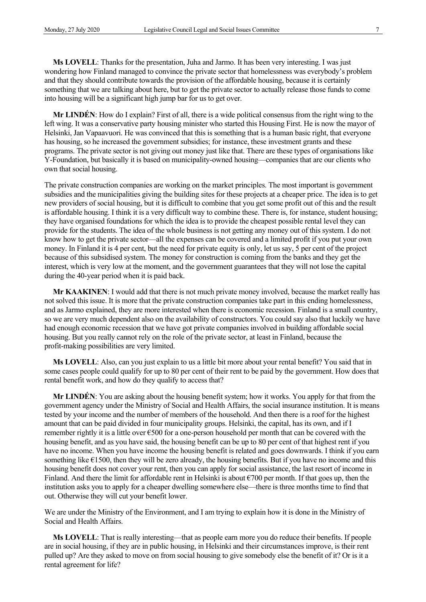**Ms LOVELL**: Thanks for the presentation, Juha and Jarmo. It has been very interesting. I was just wondering how Finland managed to convince the private sector that homelessness was everybody's problem and that they should contribute towards the provision of the affordable housing, because it is certainly something that we are talking about here, but to get the private sector to actually release those funds to come into housing will be a significant high jump bar for us to get over.

**Mr LINDÉN**: How do I explain? First of all, there is a wide political consensus from the right wing to the left wing. It was a conservative party housing minister who started this Housing First. He is now the mayor of Helsinki, Jan Vapaavuori. He was convinced that this is something that is a human basic right, that everyone has housing, so he increased the government subsidies; for instance, these investment grants and these programs. The private sector is not giving out money just like that. There are these types of organisations like Y-Foundation, but basically it is based on municipality-owned housing—companies that are our clients who own that social housing.

The private construction companies are working on the market principles. The most important is government subsidies and the municipalities giving the building sites for these projects at a cheaper price. The idea is to get new providers of social housing, but it is difficult to combine that you get some profit out of this and the result is affordable housing. I think it is a very difficult way to combine these. There is, for instance, student housing; they have organised foundations for which the idea is to provide the cheapest possible rental level they can provide for the students. The idea of the whole business is not getting any money out of this system. I do not know how to get the private sector—all the expenses can be covered and a limited profit if you put your own money. In Finland it is 4 per cent, but the need for private equity is only, let us say, 5 per cent of the project because of this subsidised system. The money for construction is coming from the banks and they get the interest, which is very low at the moment, and the government guarantees that they will not lose the capital during the 40-year period when it is paid back.

**Mr KAAKINEN**: I would add that there is not much private money involved, because the market really has not solved this issue. It is more that the private construction companies take part in this ending homelessness, and as Jarmo explained, they are more interested when there is economic recession. Finland is a small country, so we are very much dependent also on the availability of constructors. You could say also that luckily we have had enough economic recession that we have got private companies involved in building affordable social housing. But you really cannot rely on the role of the private sector, at least in Finland, because the profit-making possibilities are very limited.

**Ms LOVELL**: Also, can you just explain to us a little bit more about your rental benefit? You said that in some cases people could qualify for up to 80 per cent of their rent to be paid by the government. How does that rental benefit work, and how do they qualify to access that?

**Mr LINDÉN**: You are asking about the housing benefit system; how it works. You apply for that from the government agency under the Ministry of Social and Health Affairs, the social insurance institution. It is means tested by your income and the number of members of the household. And then there is a roof for the highest amount that can be paid divided in four municipality groups. Helsinki, the capital, has its own, and if I remember rightly it is a little over  $\epsilon$ 500 for a one-person household per month that can be covered with the housing benefit, and as you have said, the housing benefit can be up to 80 per cent of that highest rent if you have no income. When you have income the housing benefit is related and goes downwards. I think if you earn something like  $\epsilon$ 1500, then they will be zero already, the housing benefits. But if you have no income and this housing benefit does not cover your rent, then you can apply for social assistance, the last resort of income in Finland. And there the limit for affordable rent in Helsinki is about  $\epsilon$ 700 per month. If that goes up, then the institution asks you to apply for a cheaper dwelling somewhere else—there is three months time to find that out. Otherwise they will cut your benefit lower.

We are under the Ministry of the Environment, and I am trying to explain how it is done in the Ministry of Social and Health Affairs.

**Ms LOVELL**: That is really interesting—that as people earn more you do reduce their benefits. If people are in social housing, if they are in public housing, in Helsinki and their circumstances improve, is their rent pulled up? Are they asked to move on from social housing to give somebody else the benefit of it? Or is it a rental agreement for life?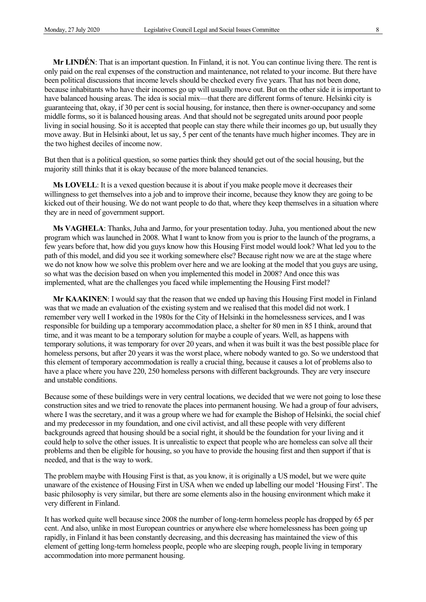**Mr LINDÉN**: That is an important question. In Finland, it is not. You can continue living there. The rent is only paid on the real expenses of the construction and maintenance, not related to your income. But there have been political discussions that income levels should be checked every five years. That has not been done, because inhabitants who have their incomes go up will usually move out. But on the other side it is important to have balanced housing areas. The idea is social mix—that there are different forms of tenure. Helsinki city is guaranteeing that, okay, if 30 per cent is social housing, for instance, then there is owner-occupancy and some middle forms, so it is balanced housing areas. And that should not be segregated units around poor people living in social housing. So it is accepted that people can stay there while their incomes go up, but usually they move away. But in Helsinki about, let us say, 5 per cent of the tenants have much higher incomes. They are in the two highest deciles of income now.

But then that is a political question, so some parties think they should get out of the social housing, but the majority still thinks that it is okay because of the more balanced tenancies.

**Ms LOVELL**: It is a vexed question because it is about if you make people move it decreases their willingness to get themselves into a job and to improve their income, because they know they are going to be kicked out of their housing. We do not want people to do that, where they keep themselves in a situation where they are in need of government support.

**Ms VAGHELA**: Thanks, Juha and Jarmo, for your presentation today. Juha, you mentioned about the new program which was launched in 2008. What I want to know from you is prior to the launch of the programs, a few years before that, how did you guys know how this Housing First model would look? What led you to the path of this model, and did you see it working somewhere else? Because right now we are at the stage where we do not know how we solve this problem over here and we are looking at the model that you guys are using, so what was the decision based on when you implemented this model in 2008? And once this was implemented, what are the challenges you faced while implementing the Housing First model?

**Mr KAAKINEN**: I would say that the reason that we ended up having this Housing First model in Finland was that we made an evaluation of the existing system and we realised that this model did not work. I remember very well I worked in the 1980s for the City of Helsinki in the homelessness services, and I was responsible for building up a temporary accommodation place, a shelter for 80 men in 85 I think, around that time, and it was meant to be a temporary solution for maybe a couple of years. Well, as happens with temporary solutions, it was temporary for over 20 years, and when it was built it was the best possible place for homeless persons, but after 20 years it was the worst place, where nobody wanted to go. So we understood that this element of temporary accommodation is really a crucial thing, because it causes a lot of problems also to have a place where you have 220, 250 homeless persons with different backgrounds. They are very insecure and unstable conditions.

Because some of these buildings were in very central locations, we decided that we were not going to lose these construction sites and we tried to renovate the places into permanent housing. We had a group of four advisers, where I was the secretary, and it was a group where we had for example the Bishop of Helsinki, the social chief and my predecessor in my foundation, and one civil activist, and all these people with very different backgrounds agreed that housing should be a social right, it should be the foundation for your living and it could help to solve the other issues. It is unrealistic to expect that people who are homeless can solve all their problems and then be eligible for housing, so you have to provide the housing first and then support if that is needed, and that is the way to work.

The problem maybe with Housing First is that, as you know, it is originally a US model, but we were quite unaware of the existence of Housing First in USA when we ended up labelling our model 'Housing First'. The basic philosophy is very similar, but there are some elements also in the housing environment which make it very different in Finland.

It has worked quite well because since 2008 the number of long-term homeless people has dropped by 65 per cent. And also, unlike in most European countries or anywhere else where homelessness has been going up rapidly, in Finland it has been constantly decreasing, and this decreasing has maintained the view of this element of getting long-term homeless people, people who are sleeping rough, people living in temporary accommodation into more permanent housing.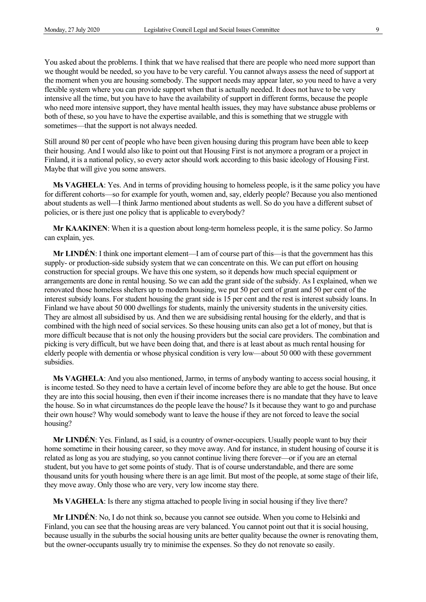You asked about the problems. I think that we have realised that there are people who need more support than we thought would be needed, so you have to be very careful. You cannot always assess the need of support at the moment when you are housing somebody. The support needs may appear later, so you need to have a very flexible system where you can provide support when that is actually needed. It does not have to be very intensive all the time, but you have to have the availability of support in different forms, because the people who need more intensive support, they have mental health issues, they may have substance abuse problems or both of these, so you have to have the expertise available, and this is something that we struggle with sometimes—that the support is not always needed.

Still around 80 per cent of people who have been given housing during this program have been able to keep their housing. And I would also like to point out that Housing First is not anymore a program or a project in Finland, it is a national policy, so every actor should work according to this basic ideology of Housing First. Maybe that will give you some answers.

**Ms VAGHELA**: Yes. And in terms of providing housing to homeless people, is it the same policy you have for different cohorts—so for example for youth, women and, say, elderly people? Because you also mentioned about students as well—I think Jarmo mentioned about students as well. So do you have a different subset of policies, or is there just one policy that is applicable to everybody?

**Mr KAAKINEN**: When it is a question about long-term homeless people, it is the same policy. So Jarmo can explain, yes.

**Mr LINDÉN**: I think one important element—I am of course part of this—is that the government has this supply- or production-side subsidy system that we can concentrate on this. We can put effort on housing construction for special groups. We have this one system, so it depends how much special equipment or arrangements are done in rental housing. So we can add the grant side of the subsidy. As I explained, when we renovated those homeless shelters up to modern housing, we put 50 per cent of grant and 50 per cent of the interest subsidy loans. For student housing the grant side is 15 per cent and the rest is interest subsidy loans. In Finland we have about 50 000 dwellings for students, mainly the university students in the university cities. They are almost all subsidised by us. And then we are subsidising rental housing for the elderly, and that is combined with the high need of social services. So these housing units can also get a lot of money, but that is more difficult because that is not only the housing providers but the social care providers. The combination and picking is very difficult, but we have been doing that, and there is at least about as much rental housing for elderly people with dementia or whose physical condition is very low—about 50 000 with these government subsidies.

**Ms VAGHELA**: And you also mentioned, Jarmo, in terms of anybody wanting to access social housing, it is income tested. So they need to have a certain level of income before they are able to get the house. But once they are into this social housing, then even if their income increases there is no mandate that they have to leave the house. So in what circumstances do the people leave the house? Is it because they want to go and purchase their own house? Why would somebody want to leave the house if they are not forced to leave the social housing?

**Mr LINDÉN**: Yes. Finland, as I said, is a country of owner-occupiers. Usually people want to buy their home sometime in their housing career, so they move away. And for instance, in student housing of course it is related as long as you are studying, so you cannot continue living there forever—or if you are an eternal student, but you have to get some points of study. That is of course understandable, and there are some thousand units for youth housing where there is an age limit. But most of the people, at some stage of their life, they move away. Only those who are very, very low income stay there.

**Ms VAGHELA**: Is there any stigma attached to people living in social housing if they live there?

**Mr LINDÉN**: No, I do not think so, because you cannot see outside. When you come to Helsinki and Finland, you can see that the housing areas are very balanced. You cannot point out that it is social housing, because usually in the suburbs the social housing units are better quality because the owner is renovating them, but the owner-occupants usually try to minimise the expenses. So they do not renovate so easily.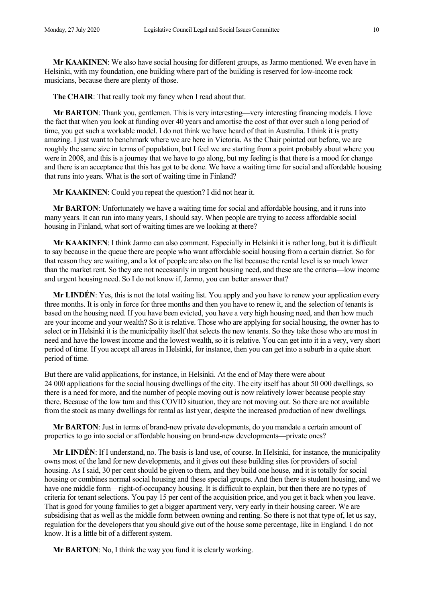**Mr KAAKINEN**: We also have social housing for different groups, as Jarmo mentioned. We even have in Helsinki, with my foundation, one building where part of the building is reserved for low-income rock musicians, because there are plenty of those.

**The CHAIR**: That really took my fancy when I read about that.

**Mr BARTON**: Thank you, gentlemen. This is very interesting—very interesting financing models. I love the fact that when you look at funding over 40 years and amortise the cost of that over such a long period of time, you get such a workable model. I do not think we have heard of that in Australia. I think it is pretty amazing. I just want to benchmark where we are here in Victoria. As the Chair pointed out before, we are roughly the same size in terms of population, but I feel we are starting from a point probably about where you were in 2008, and this is a journey that we have to go along, but my feeling is that there is a mood for change and there is an acceptance that this has got to be done. We have a waiting time for social and affordable housing that runs into years. What is the sort of waiting time in Finland?

**Mr KAAKINEN**: Could you repeat the question? I did not hear it.

**Mr BARTON**: Unfortunately we have a waiting time for social and affordable housing, and it runs into many years. It can run into many years, I should say. When people are trying to access affordable social housing in Finland, what sort of waiting times are we looking at there?

**Mr KAAKINEN**: I think Jarmo can also comment. Especially in Helsinki it is rather long, but it is difficult to say because in the queue there are people who want affordable social housing from a certain district. So for that reason they are waiting, and a lot of people are also on the list because the rental level is so much lower than the market rent. So they are not necessarily in urgent housing need, and these are the criteria—low income and urgent housing need. So I do not know if, Jarmo, you can better answer that?

**Mr LINDÉN**: Yes, this is not the total waiting list. You apply and you have to renew your application every three months. It is only in force for three months and then you have to renew it, and the selection of tenants is based on the housing need. If you have been evicted, you have a very high housing need, and then how much are your income and your wealth? So it is relative. Those who are applying for social housing, the owner has to select or in Helsinki it is the municipality itself that selects the new tenants. So they take those who are most in need and have the lowest income and the lowest wealth, so it is relative. You can get into it in a very, very short period of time. If you accept all areas in Helsinki, for instance, then you can get into a suburb in a quite short period of time.

But there are valid applications, for instance, in Helsinki. At the end of May there were about 24 000 applications for the social housing dwellings of the city. The city itself has about 50 000 dwellings, so there is a need for more, and the number of people moving out is now relatively lower because people stay there. Because of the low turn and this COVID situation, they are not moving out. So there are not available from the stock as many dwellings for rental as last year, despite the increased production of new dwellings.

**Mr BARTON**: Just in terms of brand-new private developments, do you mandate a certain amount of properties to go into social or affordable housing on brand-new developments—private ones?

**Mr LINDÉN**: If I understand, no. The basis is land use, of course. In Helsinki, for instance, the municipality owns most of the land for new developments, and it gives out these building sites for providers of social housing. As I said, 30 per cent should be given to them, and they build one house, and it is totally for social housing or combines normal social housing and these special groups. And then there is student housing, and we have one middle form—right-of-occupancy housing. It is difficult to explain, but then there are no types of criteria for tenant selections. You pay 15 per cent of the acquisition price, and you get it back when you leave. That is good for young families to get a bigger apartment very, very early in their housing career. We are subsidising that as well as the middle form between owning and renting. So there is not that type of, let us say, regulation for the developers that you should give out of the house some percentage, like in England. I do not know. It is a little bit of a different system.

**Mr BARTON**: No, I think the way you fund it is clearly working.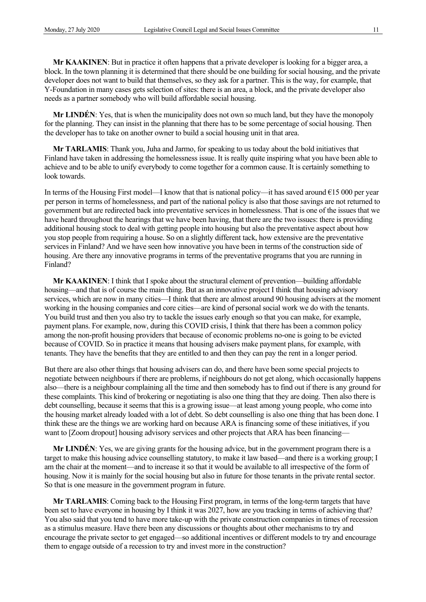**Mr KAAKINEN**: But in practice it often happens that a private developer is looking for a bigger area, a block. In the town planning it is determined that there should be one building for social housing, and the private developer does not want to build that themselves, so they ask for a partner. This is the way, for example, that Y-Foundation in many cases gets selection of sites: there is an area, a block, and the private developer also needs as a partner somebody who will build affordable social housing.

**Mr LINDÉN**: Yes, that is when the municipality does not own so much land, but they have the monopoly for the planning. They can insist in the planning that there has to be some percentage of social housing. Then the developer has to take on another owner to build a social housing unit in that area.

**Mr TARLAMIS**: Thank you, Juha and Jarmo, for speaking to us today about the bold initiatives that Finland have taken in addressing the homelessness issue. It is really quite inspiring what you have been able to achieve and to be able to unify everybody to come together for a common cause. It is certainly something to look towards.

In terms of the Housing First model—I know that that is national policy—it has saved around €15 000 per year per person in terms of homelessness, and part of the national policy is also that those savings are not returned to government but are redirected back into preventative services in homelessness. That is one of the issues that we have heard throughout the hearings that we have been having, that there are the two issues: there is providing additional housing stock to deal with getting people into housing but also the preventative aspect about how you stop people from requiring a house. So on a slightly different tack, how extensive are the preventative services in Finland? And we have seen how innovative you have been in terms of the construction side of housing. Are there any innovative programs in terms of the preventative programs that you are running in Finland?

**Mr KAAKINEN**: I think that I spoke about the structural element of prevention—building affordable housing—and that is of course the main thing. But as an innovative project I think that housing advisory services, which are now in many cities—I think that there are almost around 90 housing advisers at the moment working in the housing companies and core cities—are kind of personal social work we do with the tenants. You build trust and then you also try to tackle the issues early enough so that you can make, for example, payment plans. For example, now, during this COVID crisis, I think that there has been a common policy among the non-profit housing providers that because of economic problems no-one is going to be evicted because of COVID. So in practice it means that housing advisers make payment plans, for example, with tenants. They have the benefits that they are entitled to and then they can pay the rent in a longer period.

But there are also other things that housing advisers can do, and there have been some special projects to negotiate between neighbours if there are problems, if neighbours do not get along, which occasionally happens also—there is a neighbour complaining all the time and then somebody has to find out if there is any ground for these complaints. This kind of brokering or negotiating is also one thing that they are doing. Then also there is debt counselling, because it seems that this is a growing issue—at least among young people, who come into the housing market already loaded with a lot of debt. So debt counselling is also one thing that has been done. I think these are the things we are working hard on because ARA is financing some of these initiatives, if you want to [Zoom dropout] housing advisory services and other projects that ARA has been financing—

**Mr LINDÉN**: Yes, we are giving grants for the housing advice, but in the government program there is a target to make this housing advice counselling statutory, to make it law based—and there is a working group; I am the chair at the moment—and to increase it so that it would be available to all irrespective of the form of housing. Now it is mainly for the social housing but also in future for those tenants in the private rental sector. So that is one measure in the government program in future.

**Mr TARLAMIS**: Coming back to the Housing First program, in terms of the long-term targets that have been set to have everyone in housing by I think it was 2027, how are you tracking in terms of achieving that? You also said that you tend to have more take-up with the private construction companies in times of recession as a stimulus measure. Have there been any discussions or thoughts about other mechanisms to try and encourage the private sector to get engaged—so additional incentives or different models to try and encourage them to engage outside of a recession to try and invest more in the construction?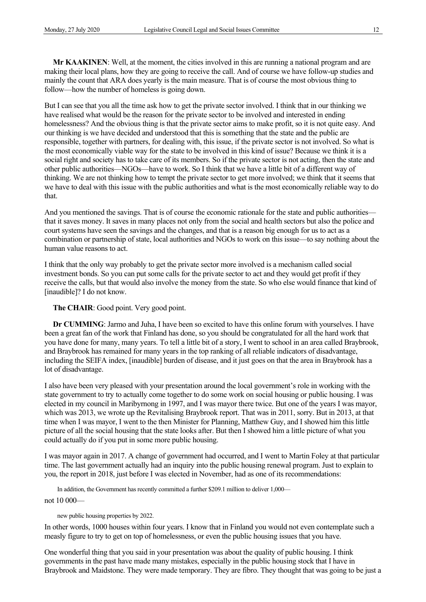**Mr KAAKINEN**: Well, at the moment, the cities involved in this are running a national program and are making their local plans, how they are going to receive the call. And of course we have follow-up studies and mainly the count that ARA does yearly is the main measure. That is of course the most obvious thing to follow—how the number of homeless is going down.

But I can see that you all the time ask how to get the private sector involved. I think that in our thinking we have realised what would be the reason for the private sector to be involved and interested in ending homelessness? And the obvious thing is that the private sector aims to make profit, so it is not quite easy. And our thinking is we have decided and understood that this is something that the state and the public are responsible, together with partners, for dealing with, this issue, if the private sector is not involved. So what is the most economically viable way for the state to be involved in this kind of issue? Because we think it is a social right and society has to take care of its members. So if the private sector is not acting, then the state and other public authorities—NGOs—have to work. So I think that we have a little bit of a different way of thinking. We are not thinking how to tempt the private sector to get more involved; we think that it seems that we have to deal with this issue with the public authorities and what is the most economically reliable way to do that.

And you mentioned the savings. That is of course the economic rationale for the state and public authorities that it saves money. It saves in many places not only from the social and health sectors but also the police and court systems have seen the savings and the changes, and that is a reason big enough for us to act as a combination or partnership of state, local authorities and NGOs to work on this issue—to say nothing about the human value reasons to act.

I think that the only way probably to get the private sector more involved is a mechanism called social investment bonds. So you can put some calls for the private sector to act and they would get profit if they receive the calls, but that would also involve the money from the state. So who else would finance that kind of [inaudible]? I do not know.

#### **The CHAIR**: Good point. Very good point.

**Dr CUMMING**: Jarmo and Juha, I have been so excited to have this online forum with yourselves. I have been a great fan of the work that Finland has done, so you should be congratulated for all the hard work that you have done for many, many years. To tell a little bit of a story, I went to school in an area called Braybrook, and Braybrook has remained for many years in the top ranking of all reliable indicators of disadvantage, including the SEIFA index, [inaudible] burden of disease, and it just goes on that the area in Braybrook has a lot of disadvantage.

I also have been very pleased with your presentation around the local government's role in working with the state government to try to actually come together to do some work on social housing or public housing. I was elected in my council in Maribyrnong in 1997, and I was mayor there twice. But one of the years I was mayor, which was 2013, we wrote up the Revitalising Braybrook report. That was in 2011, sorry. But in 2013, at that time when I was mayor, I went to the then Minister for Planning, Matthew Guy, and I showed him this little picture of all the social housing that the state looks after. But then I showed him a little picture of what you could actually do if you put in some more public housing.

I was mayor again in 2017. A change of government had occurred, and I went to Martin Foley at that particular time. The last government actually had an inquiry into the public housing renewal program. Just to explain to you, the report in 2018, just before I was elected in November, had as one of its recommendations:

In addition, the Government has recently committed a further \$209.1 million to deliver 1,000—

not 10 000—

new public housing properties by 2022.

In other words, 1000 houses within four years. I know that in Finland you would not even contemplate such a measly figure to try to get on top of homelessness, or even the public housing issues that you have.

One wonderful thing that you said in your presentation was about the quality of public housing. I think governments in the past have made many mistakes, especially in the public housing stock that I have in Braybrook and Maidstone. They were made temporary. They are fibro. They thought that was going to be just a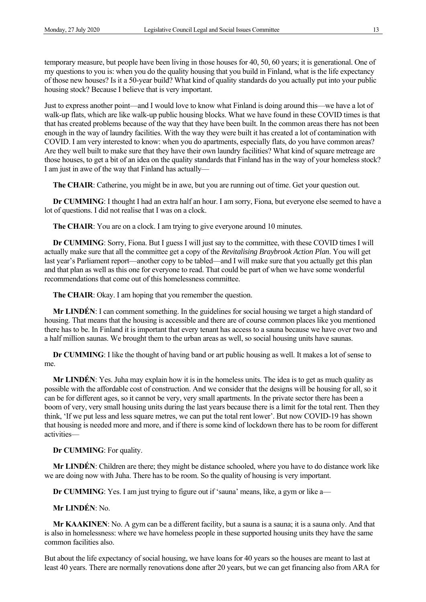temporary measure, but people have been living in those houses for 40, 50, 60 years; it is generational. One of my questions to you is: when you do the quality housing that you build in Finland, what is the life expectancy of those new houses? Is it a 50-year build? What kind of quality standards do you actually put into your public housing stock? Because I believe that is very important.

Just to express another point—and I would love to know what Finland is doing around this—we have a lot of walk-up flats, which are like walk-up public housing blocks. What we have found in these COVID times is that that has created problems because of the way that they have been built. In the common areas there has not been enough in the way of laundry facilities. With the way they were built it has created a lot of contamination with COVID. I am very interested to know: when you do apartments, especially flats, do you have common areas? Are they well built to make sure that they have their own laundry facilities? What kind of square metreage are those houses, to get a bit of an idea on the quality standards that Finland has in the way of your homeless stock? I am just in awe of the way that Finland has actually—

**The CHAIR**: Catherine, you might be in awe, but you are running out of time. Get your question out.

**Dr CUMMING**: I thought I had an extra half an hour. I am sorry, Fiona, but everyone else seemed to have a lot of questions. I did not realise that I was on a clock.

**The CHAIR:** You are on a clock. I am trying to give everyone around 10 minutes.

**Dr CUMMING**: Sorry, Fiona. But I guess I will just say to the committee, with these COVID times I will actually make sure that all the committee get a copy of the *Revitalising Braybrook Action Plan*. You will get last year's Parliament report—another copy to be tabled—and I will make sure that you actually get this plan and that plan as well as this one for everyone to read. That could be part of when we have some wonderful recommendations that come out of this homelessness committee.

**The CHAIR**: Okay. I am hoping that you remember the question.

**Mr LINDÉN**: I can comment something. In the guidelines for social housing we target a high standard of housing. That means that the housing is accessible and there are of course common places like you mentioned there has to be. In Finland it is important that every tenant has access to a sauna because we have over two and a half million saunas. We brought them to the urban areas as well, so social housing units have saunas.

**Dr CUMMING**: I like the thought of having band or art public housing as well. It makes a lot of sense to me.

**Mr LINDÉN**: Yes. Juha may explain how it is in the homeless units. The idea is to get as much quality as possible with the affordable cost of construction. And we consider that the designs will be housing for all, so it can be for different ages, so it cannot be very, very small apartments. In the private sector there has been a boom of very, very small housing units during the last years because there is a limit for the total rent. Then they think, 'If we put less and less square metres, we can put the total rent lower'. But now COVID-19 has shown that housing is needed more and more, and if there is some kind of lockdown there has to be room for different activities—

**Dr CUMMING**: For quality.

**Mr LINDÉN**: Children are there; they might be distance schooled, where you have to do distance work like we are doing now with Juha. There has to be room. So the quality of housing is very important.

**Dr CUMMING**: Yes. I am just trying to figure out if 'sauna' means, like, a gym or like a—

**Mr LINDÉN**: No.

**Mr KAAKINEN**: No. A gym can be a different facility, but a sauna is a sauna; it is a sauna only. And that is also in homelessness: where we have homeless people in these supported housing units they have the same common facilities also.

But about the life expectancy of social housing, we have loans for 40 years so the houses are meant to last at least 40 years. There are normally renovations done after 20 years, but we can get financing also from ARA for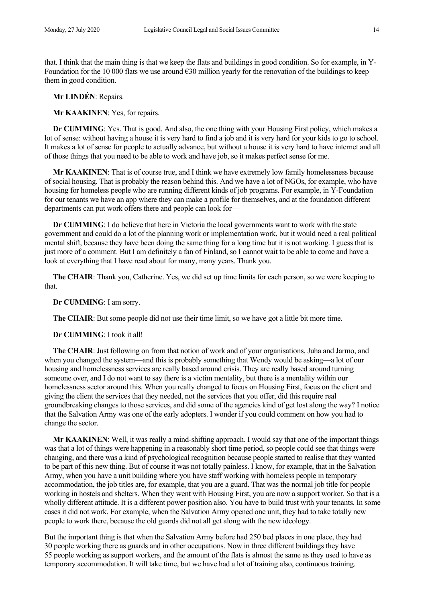that. I think that the main thing is that we keep the flats and buildings in good condition. So for example, in Y-Foundation for the 10 000 flats we use around  $\epsilon$ 30 million yearly for the renovation of the buildings to keep them in good condition.

**Mr LINDÉN**: Repairs.

**Mr KAAKINEN**: Yes, for repairs.

**Dr CUMMING**: Yes. That is good. And also, the one thing with your Housing First policy, which makes a lot of sense: without having a house it is very hard to find a job and it is very hard for your kids to go to school. It makes a lot of sense for people to actually advance, but without a house it is very hard to have internet and all of those things that you need to be able to work and have job, so it makes perfect sense for me.

**Mr KAAKINEN**: That is of course true, and I think we have extremely low family homelessness because of social housing. That is probably the reason behind this. And we have a lot of NGOs, for example, who have housing for homeless people who are running different kinds of job programs. For example, in Y-Foundation for our tenants we have an app where they can make a profile for themselves, and at the foundation different departments can put work offers there and people can look for—

**Dr CUMMING**: I do believe that here in Victoria the local governments want to work with the state government and could do a lot of the planning work or implementation work, but it would need a real political mental shift, because they have been doing the same thing for a long time but it is not working. I guess that is just more of a comment. But I am definitely a fan of Finland, so I cannot wait to be able to come and have a look at everything that I have read about for many, many years. Thank you.

**The CHAIR**: Thank you, Catherine. Yes, we did set up time limits for each person, so we were keeping to that.

**Dr CUMMING**: I am sorry.

**The CHAIR**: But some people did not use their time limit, so we have got a little bit more time.

**Dr CUMMING**: I took it all!

**The CHAIR**: Just following on from that notion of work and of your organisations, Juha and Jarmo, and when you changed the system—and this is probably something that Wendy would be asking—a lot of our housing and homelessness services are really based around crisis. They are really based around turning someone over, and I do not want to say there is a victim mentality, but there is a mentality within our homelessness sector around this. When you really changed to focus on Housing First, focus on the client and giving the client the services that they needed, not the services that you offer, did this require real groundbreaking changes to those services, and did some of the agencies kind of get lost along the way? I notice that the Salvation Army was one of the early adopters. I wonder if you could comment on how you had to change the sector.

**Mr KAAKINEN**: Well, it was really a mind-shifting approach. I would say that one of the important things was that a lot of things were happening in a reasonably short time period, so people could see that things were changing, and there was a kind of psychological recognition because people started to realise that they wanted to be part of this new thing. But of course it was not totally painless. I know, for example, that in the Salvation Army, when you have a unit building where you have staff working with homeless people in temporary accommodation, the job titles are, for example, that you are a guard. That was the normal job title for people working in hostels and shelters. When they went with Housing First, you are now a support worker. So that is a wholly different attitude. It is a different power position also. You have to build trust with your tenants. In some cases it did not work. For example, when the Salvation Army opened one unit, they had to take totally new people to work there, because the old guards did not all get along with the new ideology.

But the important thing is that when the Salvation Army before had 250 bed places in one place, they had 30 people working there as guards and in other occupations. Now in three different buildings they have 55 people working as support workers, and the amount of the flats is almost the same as they used to have as temporary accommodation. It will take time, but we have had a lot of training also, continuous training.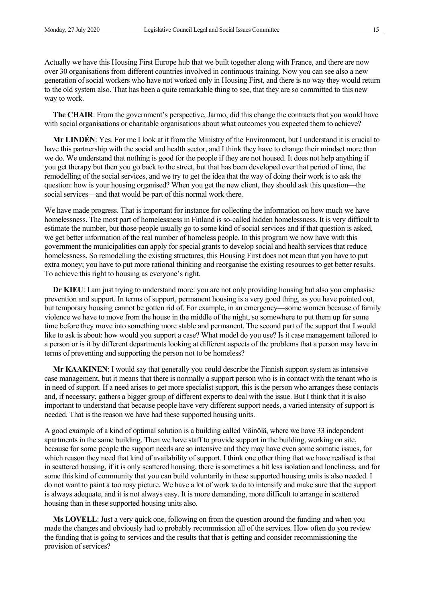Actually we have this Housing First Europe hub that we built together along with France, and there are now over 30 organisations from different countries involved in continuous training. Now you can see also a new generation of social workers who have not worked only in Housing First, and there is no way they would return to the old system also. That has been a quite remarkable thing to see, that they are so committed to this new way to work.

**The CHAIR**: From the government's perspective, Jarmo, did this change the contracts that you would have with social organisations or charitable organisations about what outcomes you expected them to achieve?

**Mr LINDÉN**: Yes. For me I look at it from the Ministry of the Environment, but I understand it is crucial to have this partnership with the social and health sector, and I think they have to change their mindset more than we do. We understand that nothing is good for the people if they are not housed. It does not help anything if you get therapy but then you go back to the street, but that has been developed over that period of time, the remodelling of the social services, and we try to get the idea that the way of doing their work is to ask the question: how is your housing organised? When you get the new client, they should ask this question—the social services—and that would be part of this normal work there.

We have made progress. That is important for instance for collecting the information on how much we have homelessness. The most part of homelessness in Finland is so-called hidden homelessness. It is very difficult to estimate the number, but those people usually go to some kind of social services and if that question is asked, we get better information of the real number of homeless people. In this program we now have with this government the municipalities can apply for special grants to develop social and health services that reduce homelessness. So remodelling the existing structures, this Housing First does not mean that you have to put extra money; you have to put more rational thinking and reorganise the existing resources to get better results. To achieve this right to housing as everyone's right.

**Dr KIEU**: I am just trying to understand more: you are not only providing housing but also you emphasise prevention and support. In terms of support, permanent housing is a very good thing, as you have pointed out, but temporary housing cannot be gotten rid of. For example, in an emergency—some women because of family violence we have to move from the house in the middle of the night, so somewhere to put them up for some time before they move into something more stable and permanent. The second part of the support that I would like to ask is about: how would you support a case? What model do you use? Is it case management tailored to a person or is it by different departments looking at different aspects of the problems that a person may have in terms of preventing and supporting the person not to be homeless?

**Mr KAAKINEN**: I would say that generally you could describe the Finnish support system as intensive case management, but it means that there is normally a support person who is in contact with the tenant who is in need of support. If a need arises to get more specialist support, this is the person who arranges these contacts and, if necessary, gathers a bigger group of different experts to deal with the issue. But I think that it is also important to understand that because people have very different support needs, a varied intensity of support is needed. That is the reason we have had these supported housing units.

A good example of a kind of optimal solution is a building called Väinölä, where we have 33 independent apartments in the same building. Then we have staff to provide support in the building, working on site, because for some people the support needs are so intensive and they may have even some somatic issues, for which reason they need that kind of availability of support. I think one other thing that we have realised is that in scattered housing, if it is only scattered housing, there is sometimes a bit less isolation and loneliness, and for some this kind of community that you can build voluntarily in these supported housing units is also needed. I do not want to paint a too rosy picture. We have a lot of work to do to intensify and make sure that the support is always adequate, and it is not always easy. It is more demanding, more difficult to arrange in scattered housing than in these supported housing units also.

**Ms LOVELL**: Just a very quick one, following on from the question around the funding and when you made the changes and obviously had to probably recommission all of the services. How often do you review the funding that is going to services and the results that that is getting and consider recommissioning the provision of services?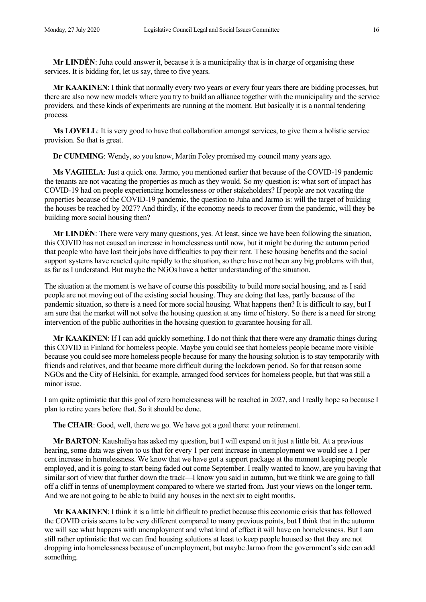**Mr LINDÉN**: Juha could answer it, because it is a municipality that is in charge of organising these services. It is bidding for, let us say, three to five years.

**Mr KAAKINEN**: I think that normally every two years or every four years there are bidding processes, but there are also now new models where you try to build an alliance together with the municipality and the service providers, and these kinds of experiments are running at the moment. But basically it is a normal tendering process.

**Ms LOVELL**: It is very good to have that collaboration amongst services, to give them a holistic service provision. So that is great.

**Dr CUMMING**: Wendy, so you know, Martin Foley promised my council many years ago.

**Ms VAGHELA**: Just a quick one. Jarmo, you mentioned earlier that because of the COVID-19 pandemic the tenants are not vacating the properties as much as they would. So my question is: what sort of impact has COVID-19 had on people experiencing homelessness or other stakeholders? If people are not vacating the properties because of the COVID-19 pandemic, the question to Juha and Jarmo is: will the target of building the houses be reached by 2027? And thirdly, if the economy needs to recover from the pandemic, will they be building more social housing then?

**Mr LINDÉN**: There were very many questions, yes. At least, since we have been following the situation, this COVID has not caused an increase in homelessness until now, but it might be during the autumn period that people who have lost their jobs have difficulties to pay their rent. These housing benefits and the social support systems have reacted quite rapidly to the situation, so there have not been any big problems with that, as far as I understand. But maybe the NGOs have a better understanding of the situation.

The situation at the moment is we have of course this possibility to build more social housing, and as I said people are not moving out of the existing social housing. They are doing that less, partly because of the pandemic situation, so there is a need for more social housing. What happens then? It is difficult to say, but I am sure that the market will not solve the housing question at any time of history. So there is a need for strong intervention of the public authorities in the housing question to guarantee housing for all.

**Mr KAAKINEN**: If I can add quickly something. I do not think that there were any dramatic things during this COVID in Finland for homeless people. Maybe you could see that homeless people became more visible because you could see more homeless people because for many the housing solution is to stay temporarily with friends and relatives, and that became more difficult during the lockdown period. So for that reason some NGOs and the City of Helsinki, for example, arranged food services for homeless people, but that was still a minor issue.

I am quite optimistic that this goal of zero homelessness will be reached in 2027, and I really hope so because I plan to retire years before that. So it should be done.

**The CHAIR**: Good, well, there we go. We have got a goal there: your retirement.

**Mr BARTON**: Kaushaliya has asked my question, but I will expand on it just a little bit. At a previous hearing, some data was given to us that for every 1 per cent increase in unemployment we would see a 1 per cent increase in homelessness. We know that we have got a support package at the moment keeping people employed, and it is going to start being faded out come September. I really wanted to know, are you having that similar sort of view that further down the track—I know you said in autumn, but we think we are going to fall off a cliff in terms of unemployment compared to where we started from. Just your views on the longer term. And we are not going to be able to build any houses in the next six to eight months.

**Mr KAAKINEN**: I think it is a little bit difficult to predict because this economic crisis that has followed the COVID crisis seems to be very different compared to many previous points, but I think that in the autumn we will see what happens with unemployment and what kind of effect it will have on homelessness. But I am still rather optimistic that we can find housing solutions at least to keep people housed so that they are not dropping into homelessness because of unemployment, but maybe Jarmo from the government's side can add something.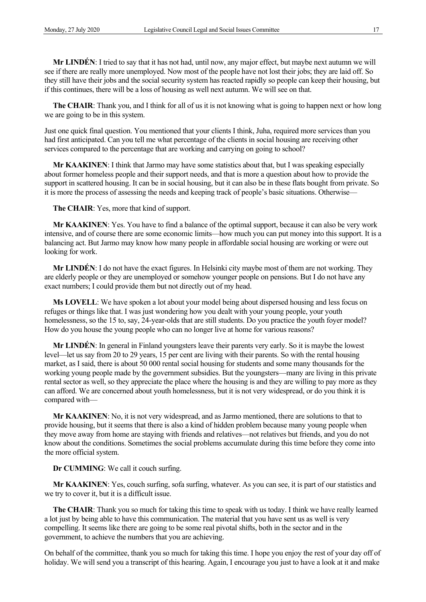**Mr LINDÉN**: I tried to say that it has not had, until now, any major effect, but maybe next autumn we will see if there are really more unemployed. Now most of the people have not lost their jobs; they are laid off. So they still have their jobs and the social security system has reacted rapidly so people can keep their housing, but if this continues, there will be a loss of housing as well next autumn. We will see on that.

**The CHAIR**: Thank you, and I think for all of us it is not knowing what is going to happen next or how long we are going to be in this system.

Just one quick final question. You mentioned that your clients I think, Juha, required more services than you had first anticipated. Can you tell me what percentage of the clients in social housing are receiving other services compared to the percentage that are working and carrying on going to school?

**Mr KAAKINEN**: I think that Jarmo may have some statistics about that, but I was speaking especially about former homeless people and their support needs, and that is more a question about how to provide the support in scattered housing. It can be in social housing, but it can also be in these flats bought from private. So it is more the process of assessing the needs and keeping track of people's basic situations. Otherwise—

**The CHAIR**: Yes, more that kind of support.

**Mr KAAKINEN**: Yes. You have to find a balance of the optimal support, because it can also be very work intensive, and of course there are some economic limits—how much you can put money into this support. It is a balancing act. But Jarmo may know how many people in affordable social housing are working or were out looking for work.

**Mr LINDÉN**: I do not have the exact figures. In Helsinki city maybe most of them are not working. They are elderly people or they are unemployed or somehow younger people on pensions. But I do not have any exact numbers; I could provide them but not directly out of my head.

**Ms LOVELL:** We have spoken a lot about your model being about dispersed housing and less focus on refuges or things like that. I was just wondering how you dealt with your young people, your youth homelessness, so the 15 to, say, 24-year-olds that are still students. Do you practice the youth foyer model? How do you house the young people who can no longer live at home for various reasons?

**Mr LINDÉN**: In general in Finland youngsters leave their parents very early. So it is maybe the lowest level—let us say from 20 to 29 years, 15 per cent are living with their parents. So with the rental housing market, as I said, there is about 50 000 rental social housing for students and some many thousands for the working young people made by the government subsidies. But the youngsters—many are living in this private rental sector as well, so they appreciate the place where the housing is and they are willing to pay more as they can afford. We are concerned about youth homelessness, but it is not very widespread, or do you think it is compared with—

**Mr KAAKINEN**: No, it is not very widespread, and as Jarmo mentioned, there are solutions to that to provide housing, but it seems that there is also a kind of hidden problem because many young people when they move away from home are staying with friends and relatives—not relatives but friends, and you do not know about the conditions. Sometimes the social problems accumulate during this time before they come into the more official system.

**Dr CUMMING**: We call it couch surfing.

**Mr KAAKINEN**: Yes, couch surfing, sofa surfing, whatever. As you can see, it is part of our statistics and we try to cover it, but it is a difficult issue.

**The CHAIR**: Thank you so much for taking this time to speak with us today. I think we have really learned a lot just by being able to have this communication. The material that you have sent us as well is very compelling. It seems like there are going to be some real pivotal shifts, both in the sector and in the government, to achieve the numbers that you are achieving.

On behalf of the committee, thank you so much for taking this time. I hope you enjoy the rest of your day off of holiday. We will send you a transcript of this hearing. Again, I encourage you just to have a look at it and make